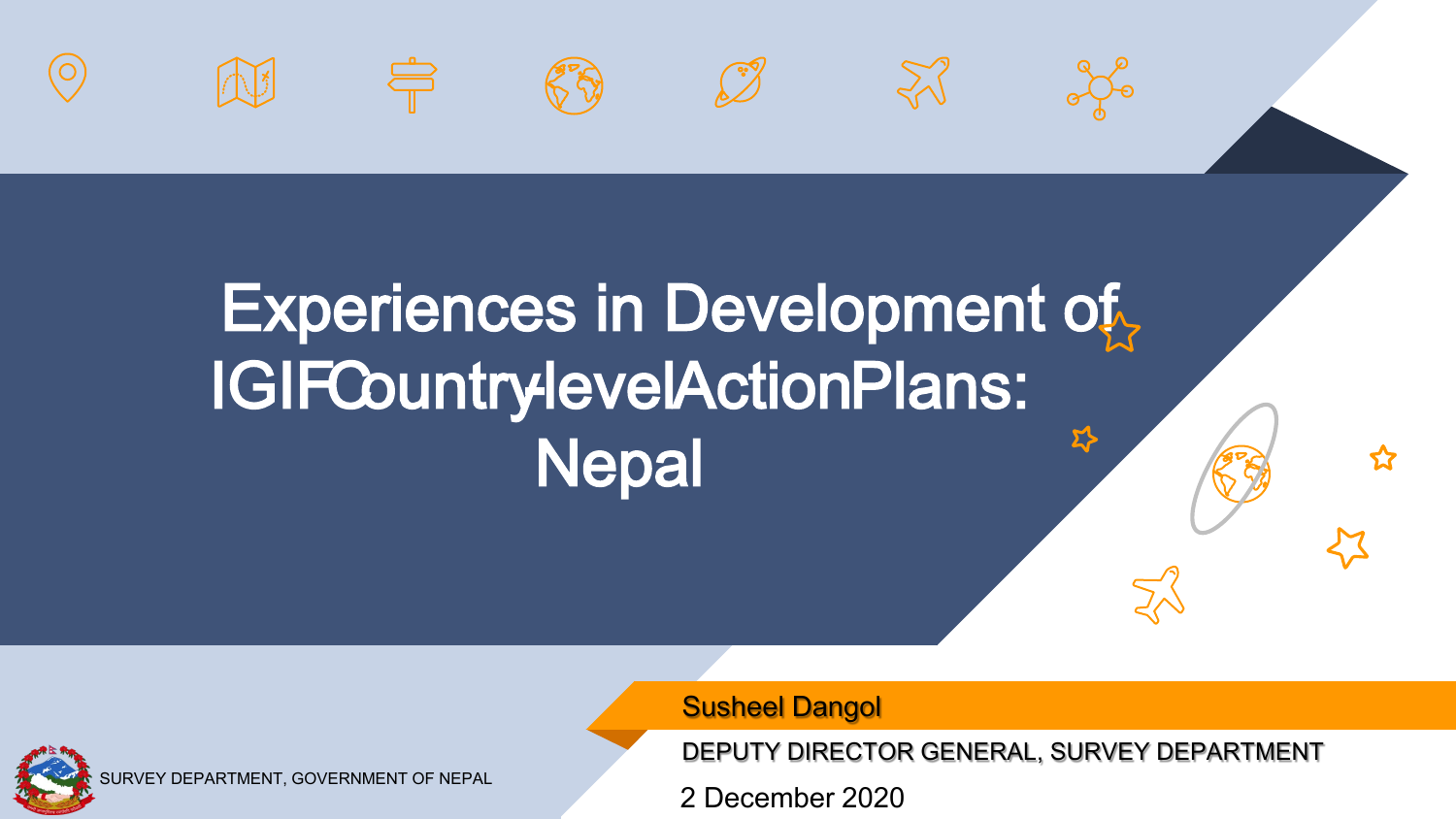







 $\approx$ 



## Experiences in Development of IGIF Country-level Action Plans: <u>ኢን</u> **Nepal**

Susheel Dangol

DEPUTY DIRECTOR GENERAL, SURVEY DEPARTMENT

2 December 2020

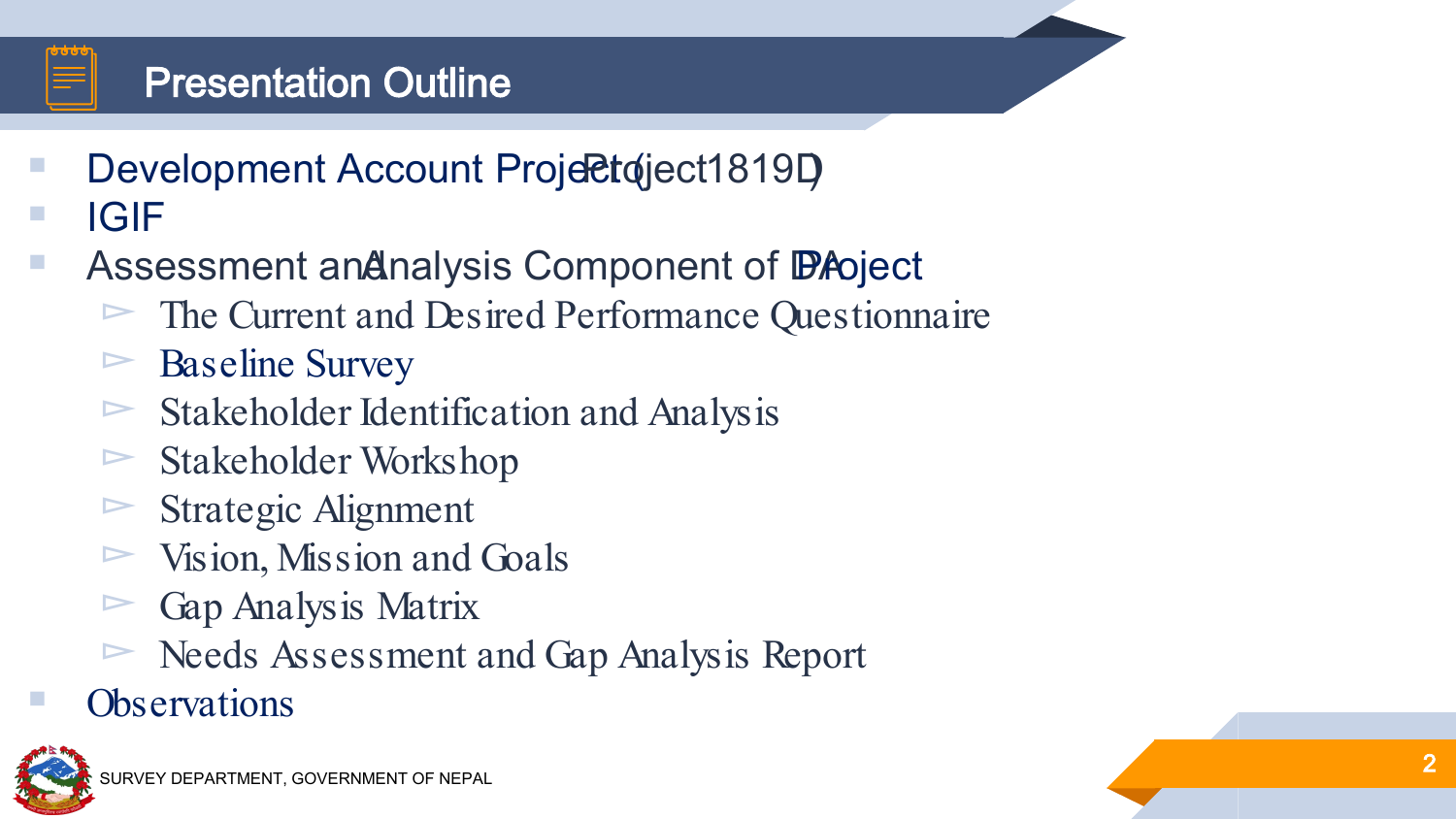

### Presentation Outline

- Development Account Project ( Project 1819D)<br>
IGIF<br>
Assessment and Analysis Component of Development
- -
	-
	-
	-
	-
	-
	-
- ► The Current and Desired Performance Questionnaire<br>
► Baseline Survey<br>
► Stakeholder Identification and Analysis<br>
► Stakeholder Workshop<br>
► Stakeholder Workshop<br>
► Stategic Alignment<br>
► Vision, Mission and Goals<br>
► Gap A
- 

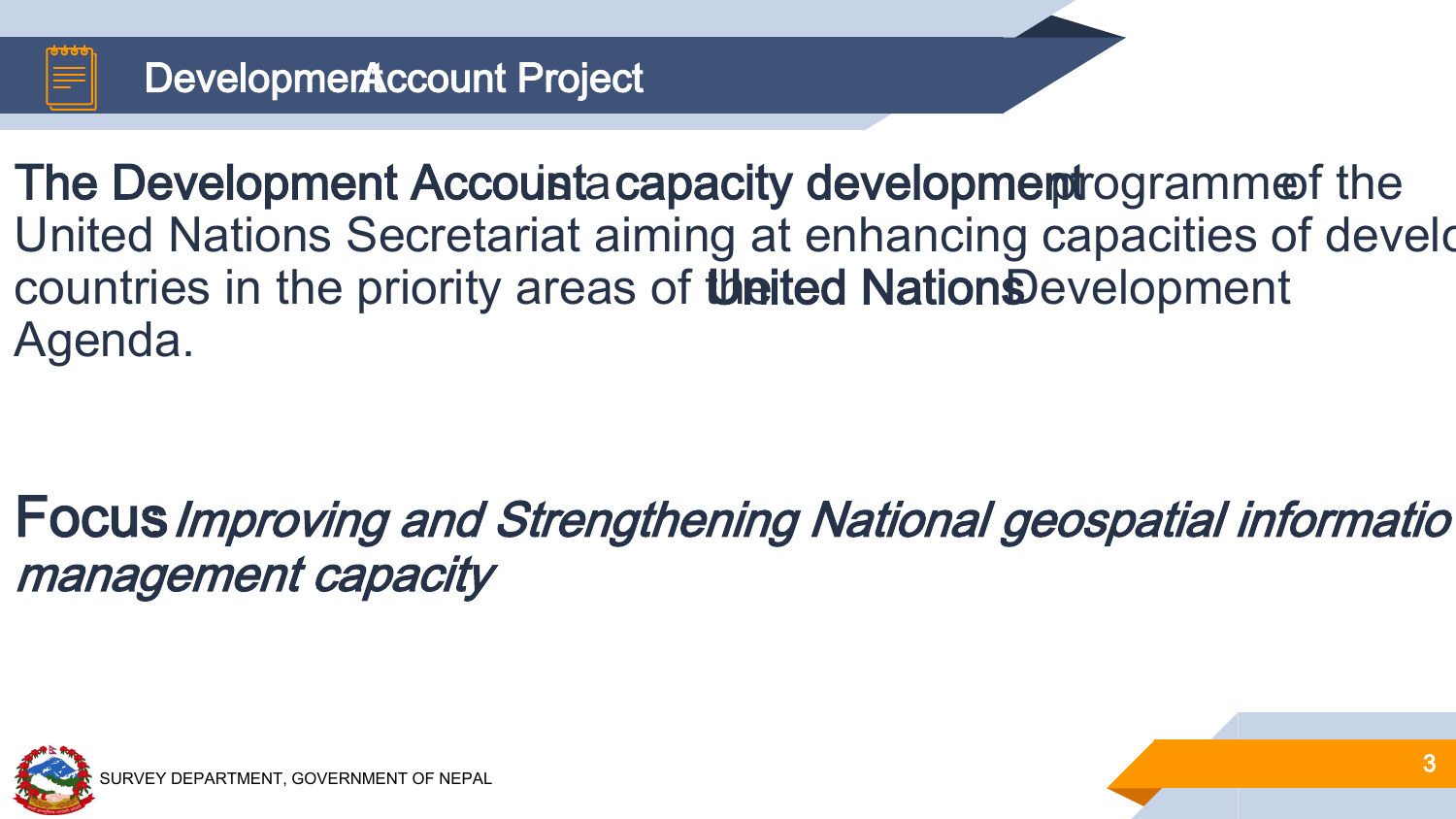

The Development Accounta capacity development rogramment the United Nations Secretariat aiming at enhancing capacities of develo countries in the priority areas of **the United Nation**sDevelopment Agenda.

Focus: Improving and Strengthening National geospatial informatio management capacity

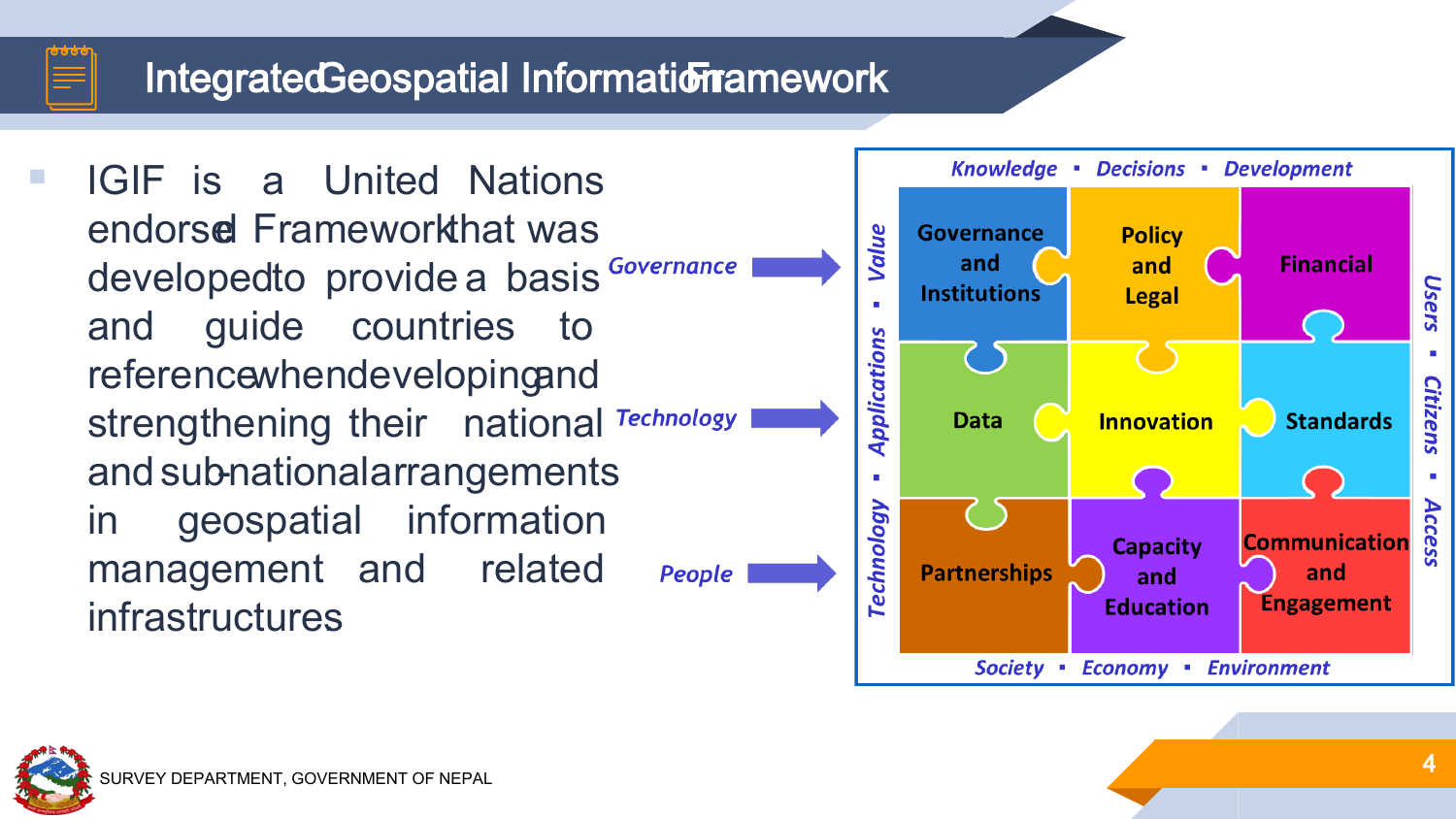## Integrated Geospatial Information Framework

**IGIF** is a United Nations endorsed Frameworkthat was developedto provide a basis and guide countries to referencewhendevelopingand strengthening their national Technology and sub-nationalarrangements in geospatial information management and related People infrastructures.



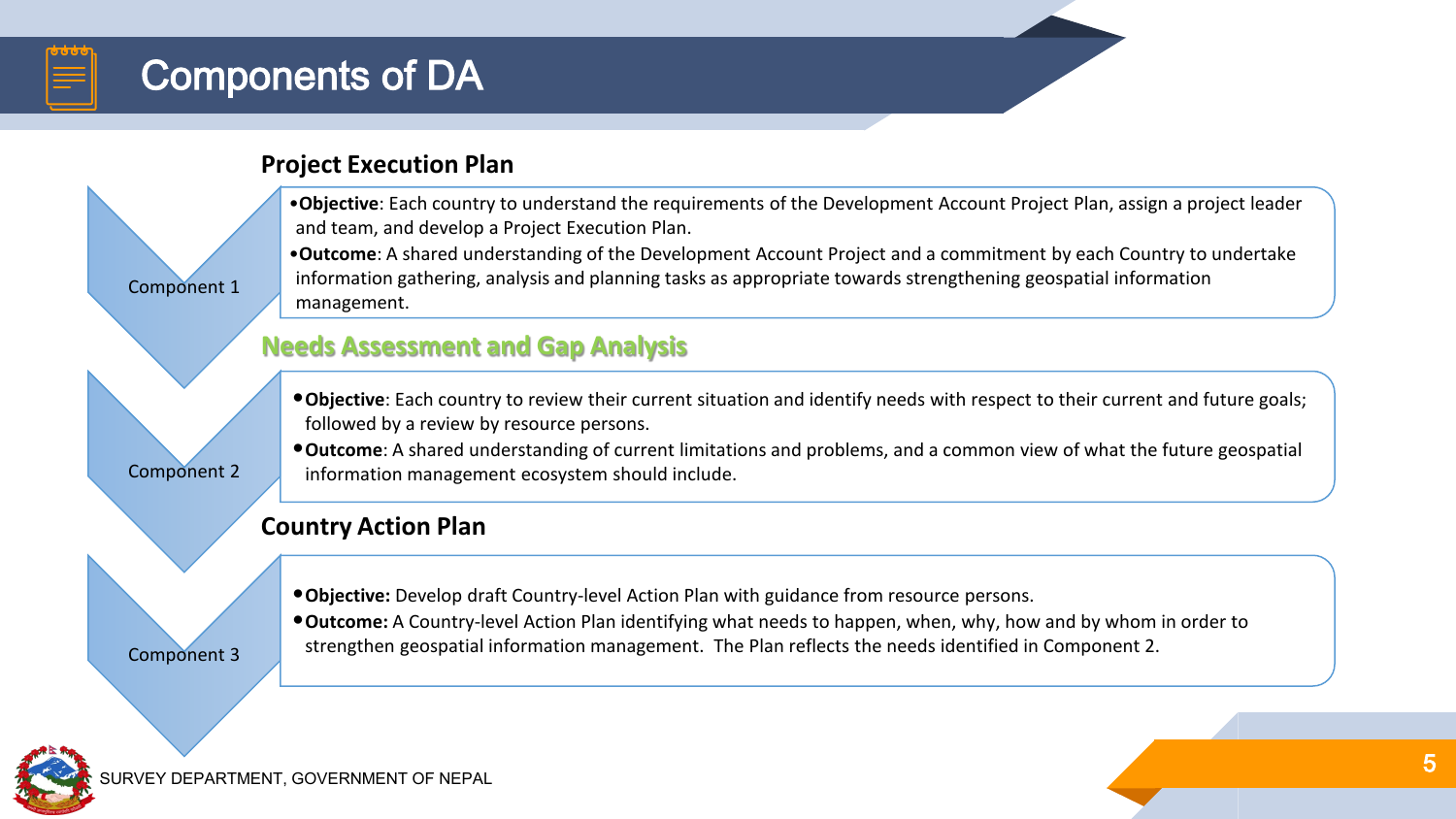#### Components of DA

#### **Project Execution Plan**

•**Objective**: Each country to understand the requirements of the Development Account Project Plan, assign a project leader and team, and develop a Project Execution Plan.

•**Outcome**: A shared understanding of the Development Account Project and a commitment by each Country to undertake information gathering, analysis and planning tasks as appropriate towards strengthening geospatial information management.

#### **Needs Assessment and Gap Analysis**

•**Objective**: Each country to review their current situation and identify needs with respect to their current and future goals; followed by a review by resource persons.

•**Outcome**: A shared understanding of current limitations and problems, and a common view of what the future geospatial information management ecosystem should include.

#### **Country Action Plan**

- •**Objective:** Develop draft Country-level Action Plan with guidance from resource persons.
- •**Outcome:** A Country-level Action Plan identifying what needs to happen, when, why, how and by whom in order to strengthen geospatial information management. The Plan reflects the needs identified in Component 2.

Component 3

Component 1

Component 2

**IRVEY DEPARTMENT, GOVERNMENT OF NEPAL**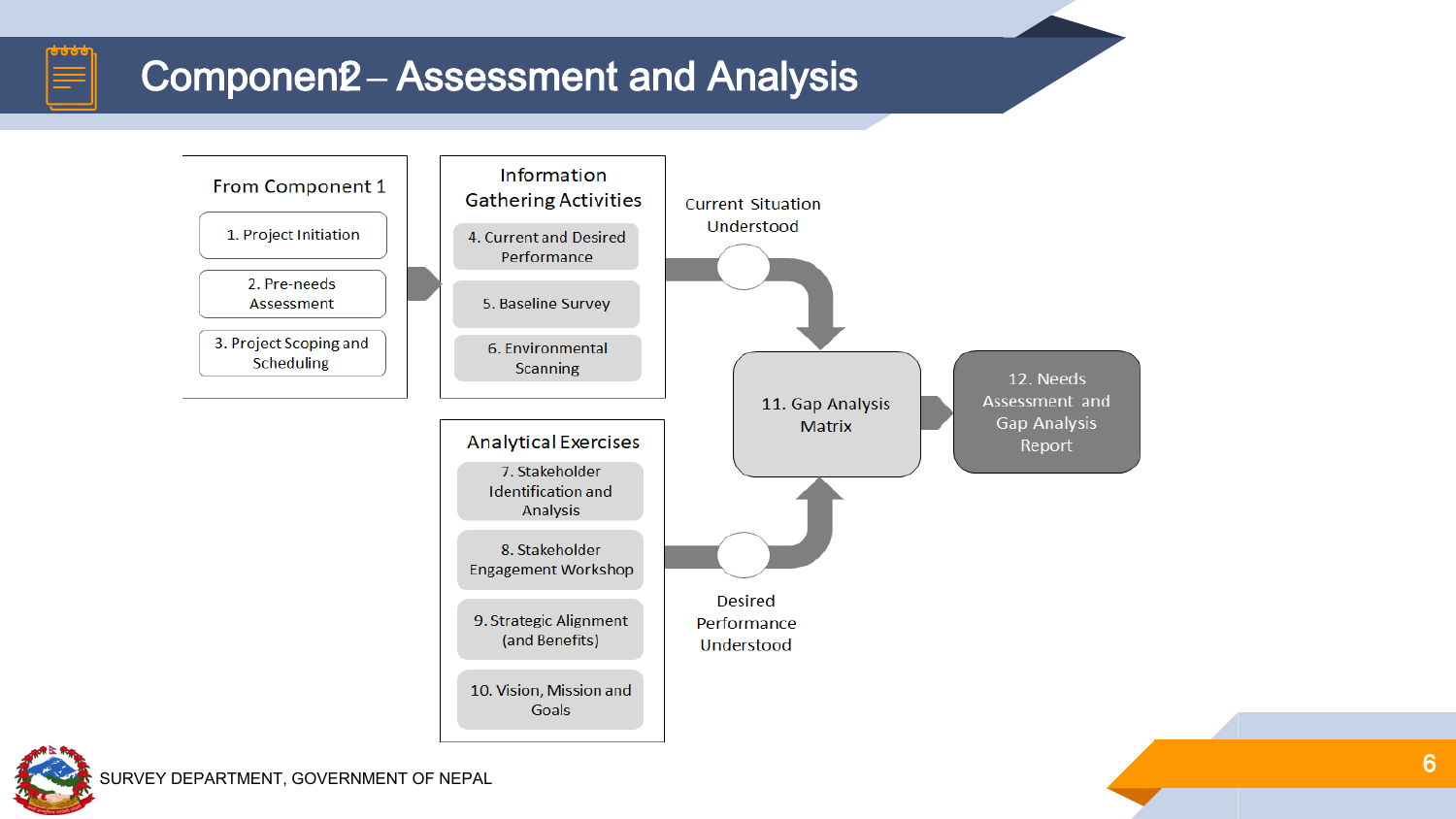### **Componen2 - Assessment and Analysis**





5666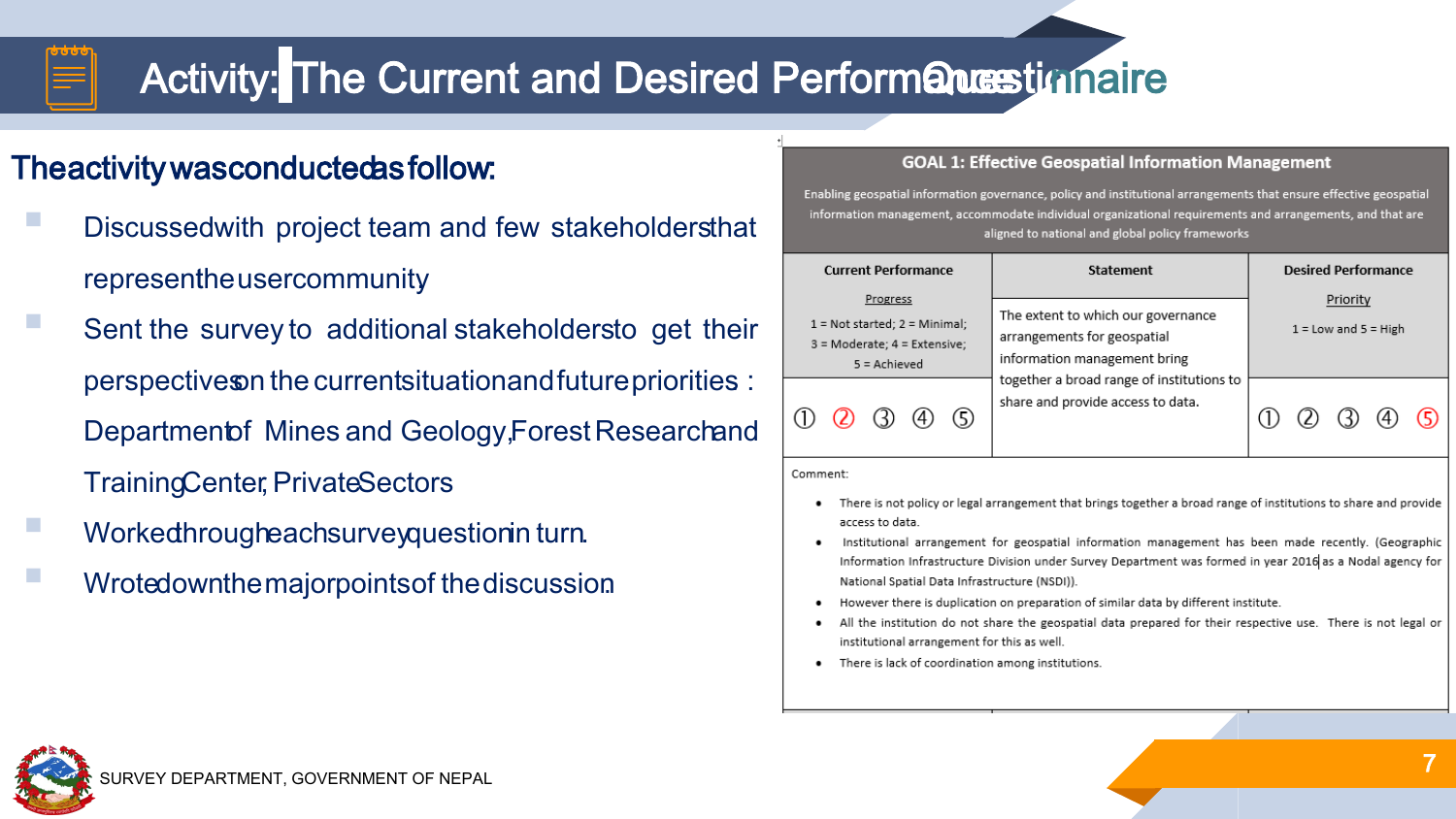## Activity: The Current and Desired Performancestionaire

#### Theactivitywasconductedasfollow:

- Discussedwith project team and few stakeholdersthat representheusercommunity.
- Sent the survey to additional stakeholdersto get their perspectiveson the currentsituationandfuturepriorities. : Department of Mines and Geology, Forest Researchand TrainingCenter, PrivateSectors
- Workedhrougheachsurveyquestionin turn.
- Wrotedownthemajorpointsof thediscussion.

#### **GOAL 1: Effective Geospatial Information Management**

Enabling geospatial information governance, policy and institutional arrangements that ensure effective geospatial information management, accommodate individual organizational requirements and arrangements, and that are aligned to national and global policy frameworks

| <b>Current Performance</b> |                                                                                                       | <b>Statement</b>                                                                                                                                                                    | <b>Desired Performance</b>           |  |  |
|----------------------------|-------------------------------------------------------------------------------------------------------|-------------------------------------------------------------------------------------------------------------------------------------------------------------------------------------|--------------------------------------|--|--|
|                            | Progress<br>$1 = Not started$ ; $2 = Minimal$ ;<br>$3$ = Moderate; $4$ = Extensive;<br>$5 =$ Achieved | The extent to which our governance<br>arrangements for geospatial<br>information management bring<br>together a broad range of institutions to<br>share and provide access to data. | Priority<br>$1 =$ Low and $5 =$ High |  |  |
|                            |                                                                                                       |                                                                                                                                                                                     |                                      |  |  |

#### Comment:

- There is not policy or legal arrangement that brings together a broad range of institutions to share and provide access to data
- Institutional arrangement for geospatial information management has been made recently. (Geographic Information Infrastructure Division under Survey Department was formed in year 2016 as a Nodal agency for National Spatial Data Infrastructure (NSDI)).
- However there is duplication on preparation of similar data by different institute.
- All the institution do not share the geospatial data prepared for their respective use. There is not legal or institutional arrangement for this as well
- There is lack of coordination among institutions.

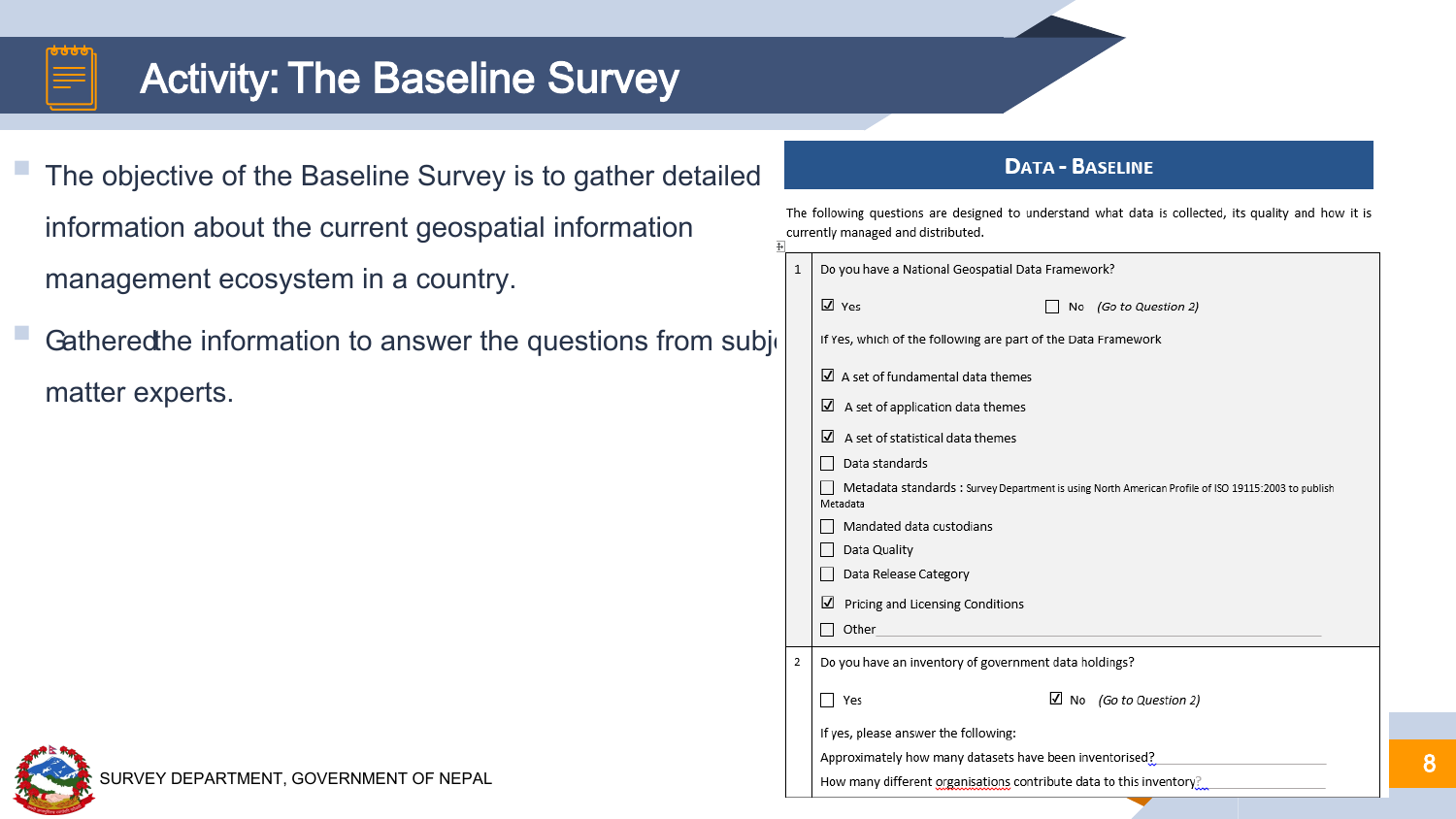## **Activity: The Baseline Survey**

 The objective of the Baseline Survey is to gather detailed information about the current geospatial information management ecosystem in a country.

Gathered the information to answer the questions from sub matter experts.

#### **DATA - BASELINE**

The following questions are designed to understand what data is collected, its quality and how it is currently managed and distributed. ਜ਼ੰ

|    | $\mathbf{1}$ | Do you have a National Geospatial Data Framework?                                                               |
|----|--------------|-----------------------------------------------------------------------------------------------------------------|
|    |              | $\overline{V}$ Yes<br>No (Go to Question 2)                                                                     |
| ۱j |              | If Yes, which of the following are part of the Data Framework                                                   |
|    |              | $\Box$ A set of fundamental data themes                                                                         |
|    |              | $\Box$ A set of application data themes                                                                         |
|    |              | A set of statistical data themes<br>$\overline{v}$                                                              |
|    |              | Data standards                                                                                                  |
|    |              | Metadata standards : Survey Department is using North American Profile of ISO 19115:2003 to publish<br>Metadata |
|    |              | Mandated data custodians                                                                                        |
|    |              | Data Quality                                                                                                    |
|    |              | Data Release Category                                                                                           |
|    |              | Pricing and Licensing Conditions<br>M                                                                           |
|    |              | Other                                                                                                           |
|    | 2            | Do you have an inventory of government data holdings?                                                           |
|    |              | $\Box$ No (Go to Question 2)<br>Yes                                                                             |
|    |              | If yes, please answer the following:                                                                            |
|    |              | Approximately how many datasets have been inventorised?                                                         |
|    |              | How many different organisations contribute data to this inventory?                                             |

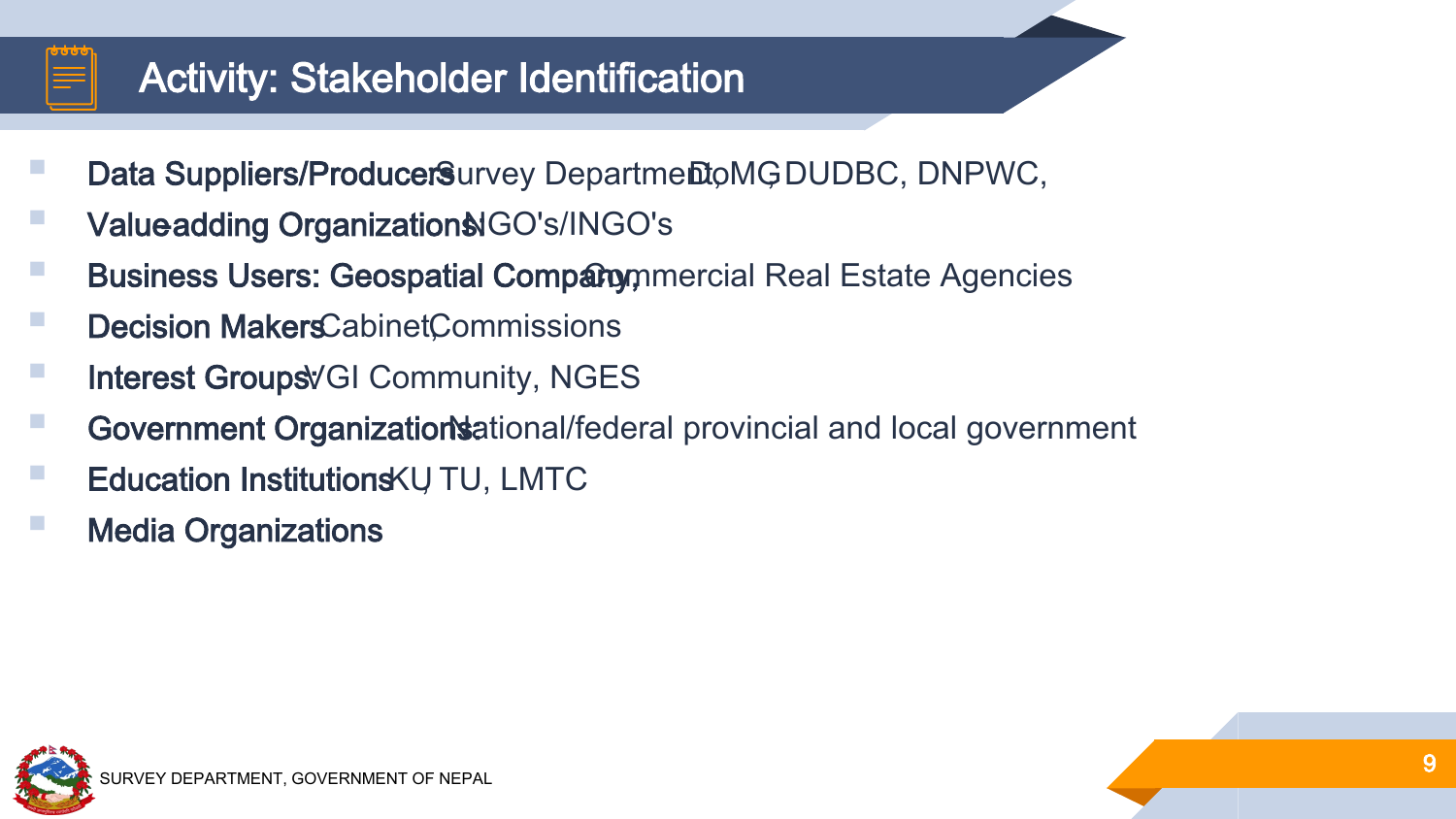### Activity: Stakeholder Identification

- Data Suppliers/ProducerSurvey Departmento MGDUDBC, DNPWC,
- Valueadding Organization& GO's/INGO's
- **Business Users: Geospatial Company** mercial Real Estate Agencies
- Decision MakersCabinetCommissions
- Interest Groups VGI Community, NGES
- Government Organizations: Alterianal/federal provincial and local government
- Education Institutions KU TU, LMTC
- Media Organizations

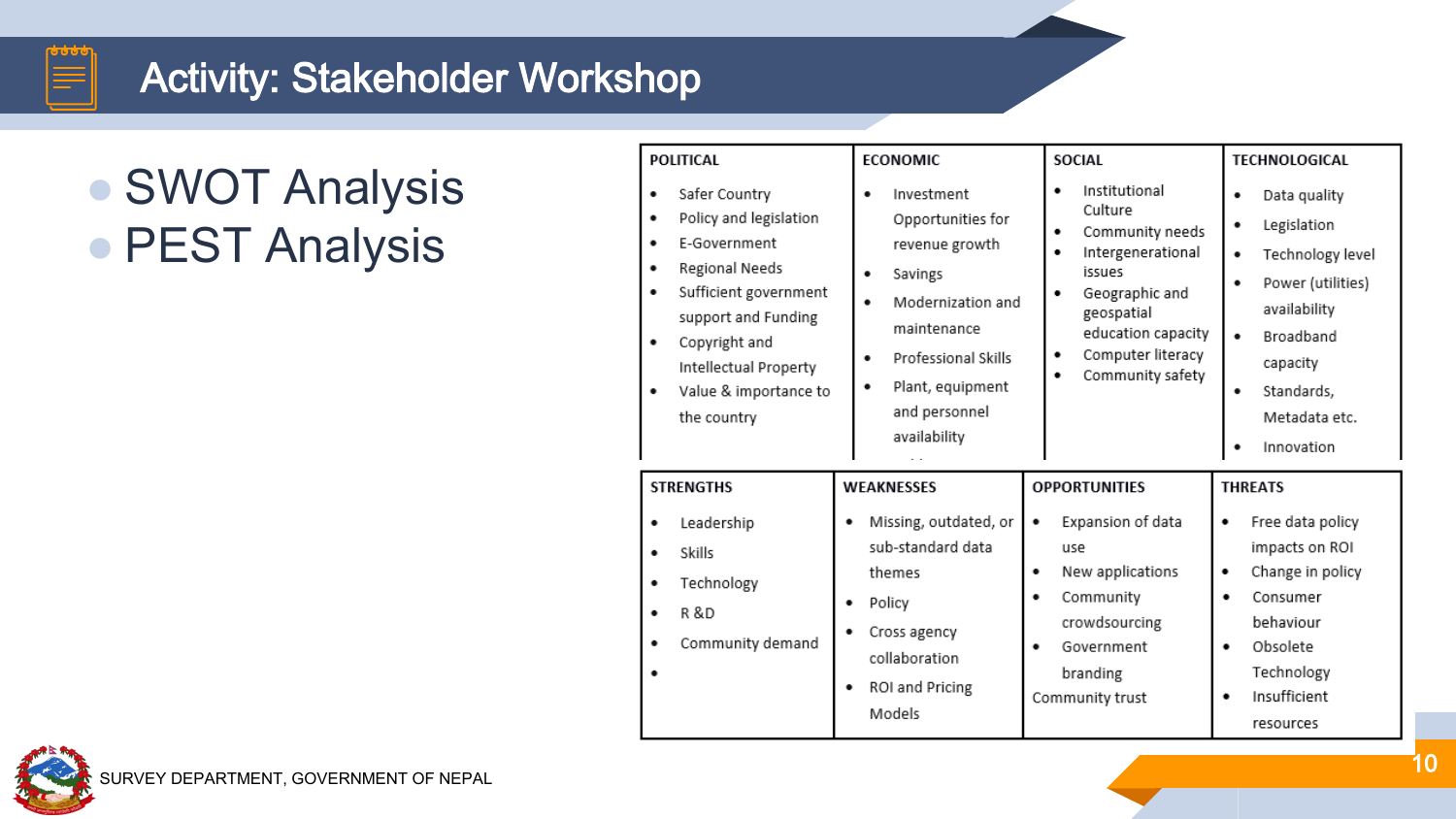### Activity: Stakeholder Workshop

# ● SWOT Analysis ● PEST Analysis

| <b>POLITICAL</b><br>Safer Country<br>٠<br>Policy and legislation<br>٠                                                                                                           | <b>ECONOMIC</b><br>Investment<br>٠<br>Opportunities for                                                                                                       | <b>SOCIAL</b><br>Institutional<br>٠<br>Culture<br>Community needs<br>٠<br>Intergenerational<br>٠<br>issues<br>Geographic and<br>٠<br>geospatial<br>education capacity<br>Computer literacy<br>٠<br>Community safety<br>٠ | TECHNOLOGICAL<br>Data quality<br>٠<br>Legislation<br>٠                                                                                                     |
|---------------------------------------------------------------------------------------------------------------------------------------------------------------------------------|---------------------------------------------------------------------------------------------------------------------------------------------------------------|--------------------------------------------------------------------------------------------------------------------------------------------------------------------------------------------------------------------------|------------------------------------------------------------------------------------------------------------------------------------------------------------|
| E-Government<br>Regional Needs<br>Sufficient government<br>٠<br>support and Funding<br>Copyright and<br>٠<br>Intellectual Property<br>Value & importance to<br>٠<br>the country | revenue growth<br>Savings<br>٠<br>Modernization and<br>٠<br>maintenance<br>Professional Skills<br>٠<br>Plant, equipment<br>٠<br>and personnel<br>availability |                                                                                                                                                                                                                          | Technology level<br>٠<br>Power (utilities)<br>٠<br>availability<br>Broadband<br>٠<br>capacity<br>Standards,<br>٠<br>Metadata etc.<br>Innovation            |
| <b>STRENGTHS</b>                                                                                                                                                                | <b>WEAKNESSES</b>                                                                                                                                             | <b>OPPORTUNITIES</b>                                                                                                                                                                                                     | <b>THREATS</b>                                                                                                                                             |
| Leadership<br>٠<br>Skills<br>Technology<br>٠<br><b>R&amp;D</b><br>Community demand<br>٠                                                                                         | Missing, outdated, or<br>sub-standard data<br>themes<br>Policy<br>٠<br>Cross agency<br>٠<br>collaboration<br>ROI and Pricing<br>٠<br>Models                   | Expansion of data<br>٠<br>use<br>New applications<br>٠<br>Community<br>٠<br>crowdsourcing<br>Government<br>٠<br>branding<br>Community trust                                                                              | Free data policy<br>٠<br>impacts on ROI<br>Change in policy<br>٠<br>Consumer<br>٠<br>behaviour<br>Obsolete<br>٠<br>Technology<br>Insufficient<br>resources |

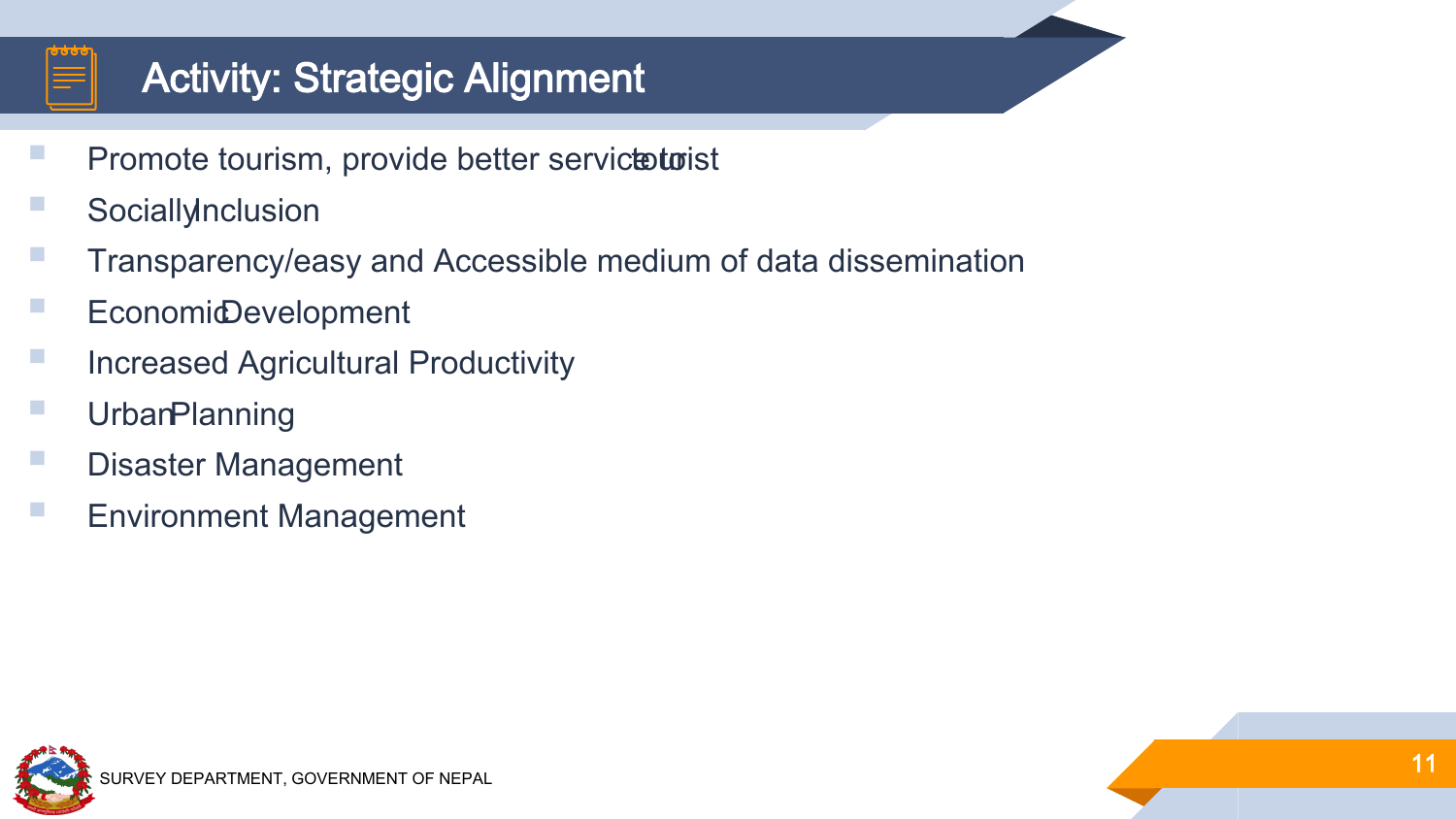## Activity: Strategic Alignment

- Promote tourism, provide better servicteurist
- SociallyInclusion
- Transparency/easy and Accessible medium of data dissemination
- Economid Development
- Increased Agricultural Productivity
- **Urban Planning**
- **Disaster Management**
- Environment Management

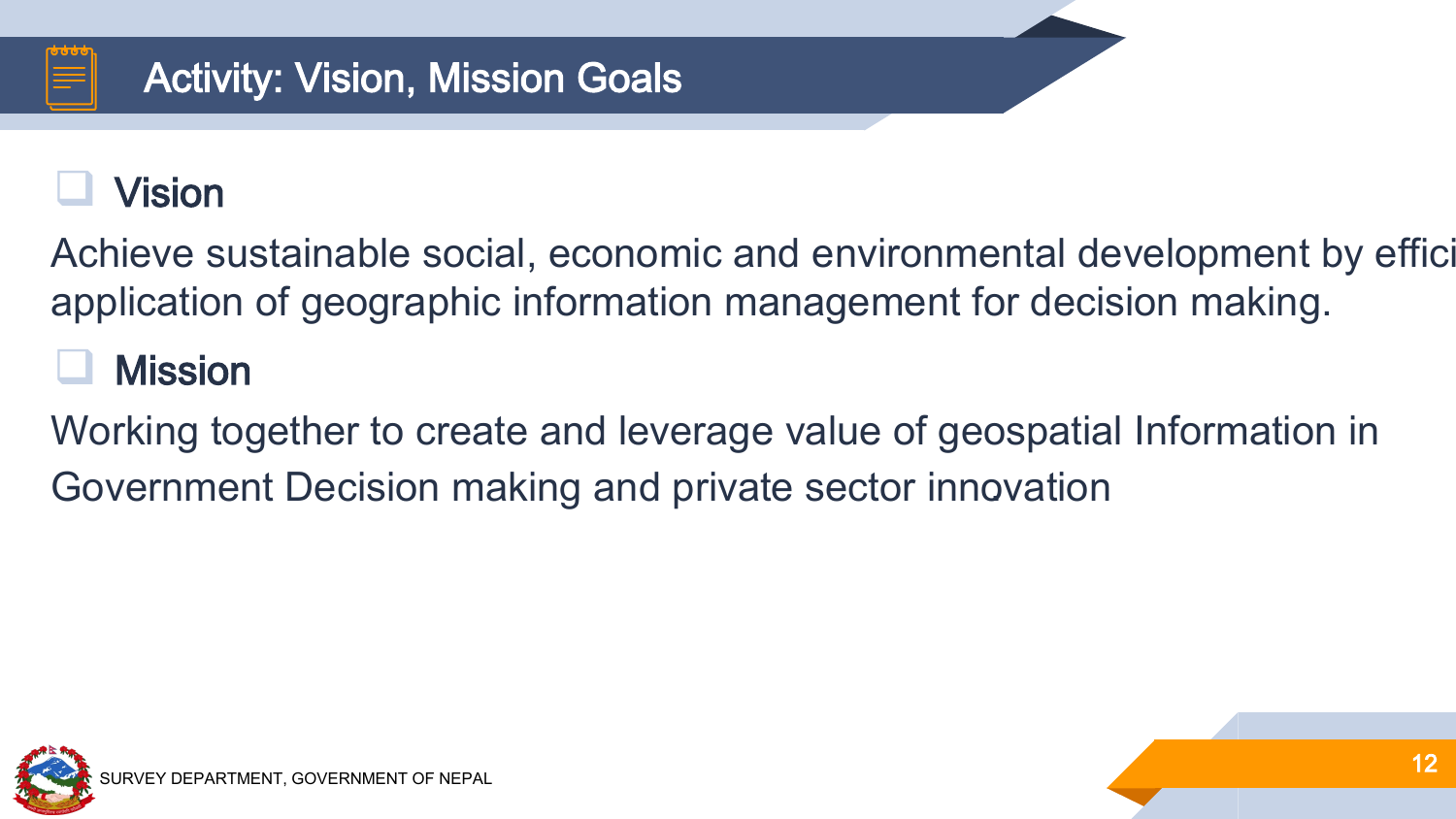## Vision

Achieve sustainable social, economic and environmental development by effici application of geographic information management for decision making.

## **Mission**

Working together to create and leverage value of geospatial Information in Government Decision making and private sector innovation .

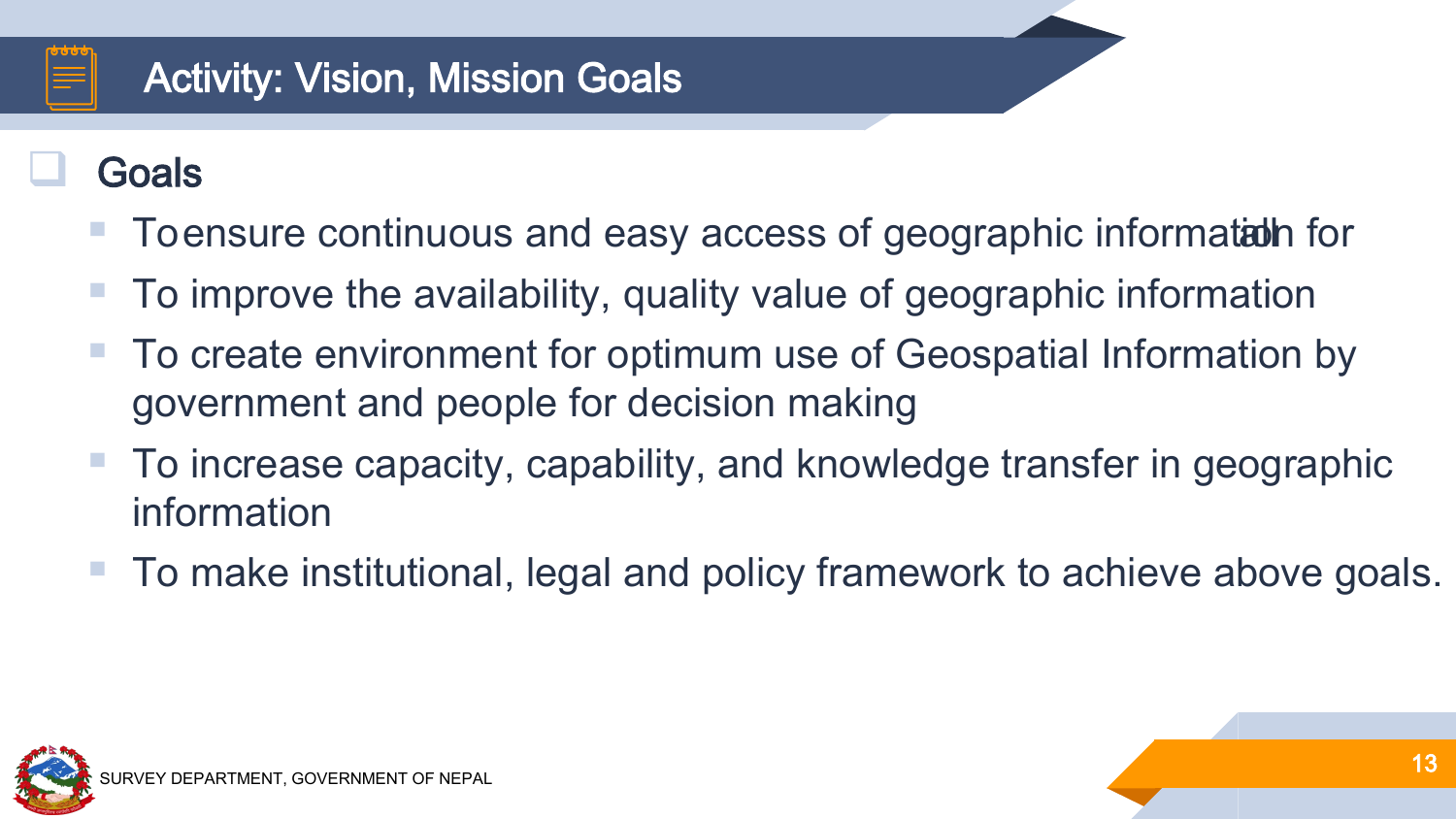## Activity: Vision, Mission Goals

## Goals

- To ensure continuous and easy access of geographic information for
- To improve the availability, quality value of geographic information
- To create environment for optimum use of Geospatial Information by government and people for decision making
- To increase capacity, capability, and knowledge transfer in geographic information
- To make institutional, legal and policy framework to achieve above goals.

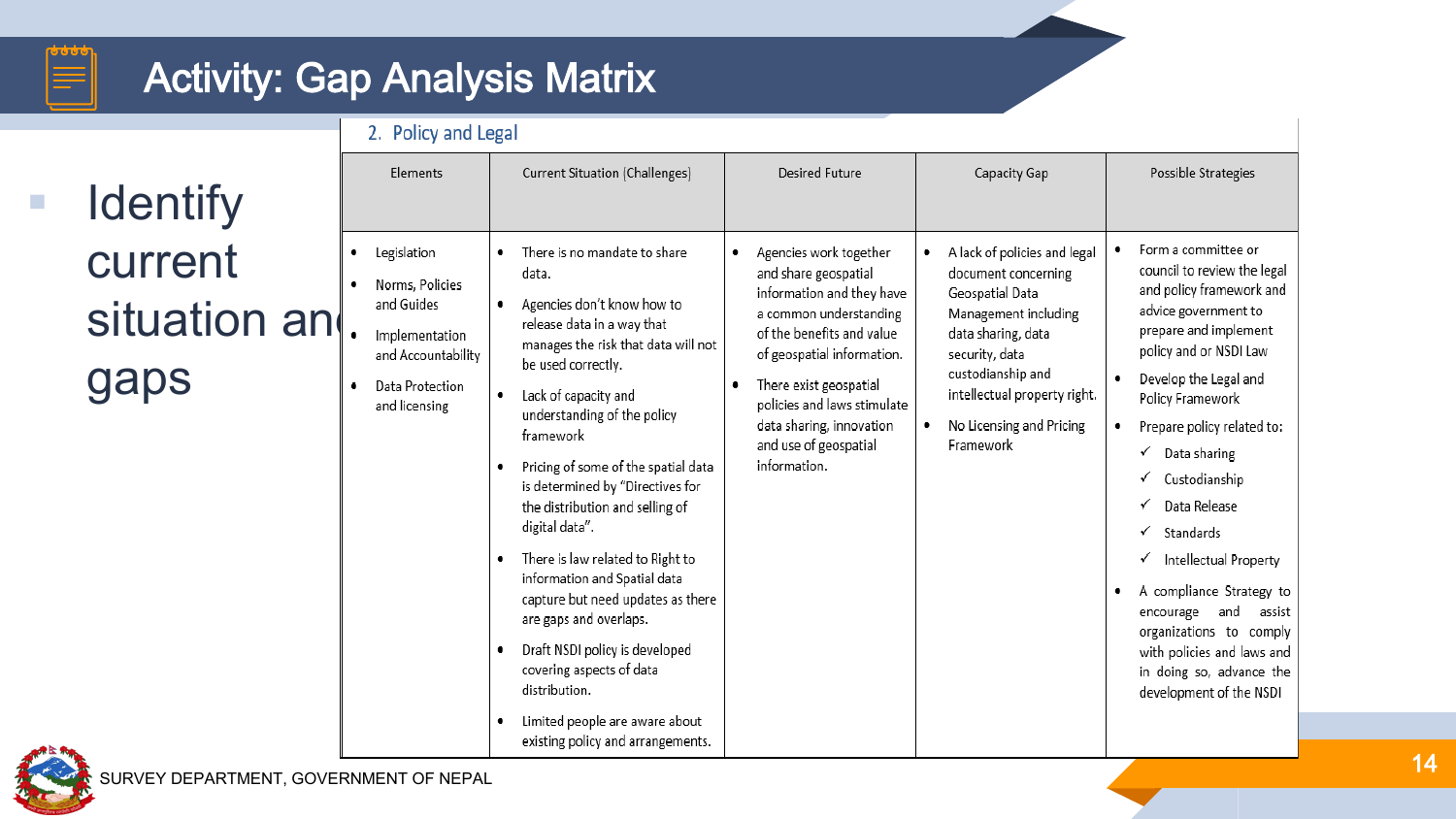#### ৳৳৳

## Activity: Gap Analysis Matrix

**I** Identify current situation ar gaps

| 2. Policy and Legal                                                                                                      |                                                                                                                                                                                                                                                                                                                                                                                                                                                                                                                                                                                                                                                                                 |                                                                                                                                                                                                                                                                                                |                                                                                                                                                                                                                                           |                                                                                                                                                                                                                                                                                                                                                                                                                                                                                                                 |
|--------------------------------------------------------------------------------------------------------------------------|---------------------------------------------------------------------------------------------------------------------------------------------------------------------------------------------------------------------------------------------------------------------------------------------------------------------------------------------------------------------------------------------------------------------------------------------------------------------------------------------------------------------------------------------------------------------------------------------------------------------------------------------------------------------------------|------------------------------------------------------------------------------------------------------------------------------------------------------------------------------------------------------------------------------------------------------------------------------------------------|-------------------------------------------------------------------------------------------------------------------------------------------------------------------------------------------------------------------------------------------|-----------------------------------------------------------------------------------------------------------------------------------------------------------------------------------------------------------------------------------------------------------------------------------------------------------------------------------------------------------------------------------------------------------------------------------------------------------------------------------------------------------------|
| Elements                                                                                                                 | Current Situation (Challenges)                                                                                                                                                                                                                                                                                                                                                                                                                                                                                                                                                                                                                                                  | Desired Future                                                                                                                                                                                                                                                                                 | Capacity Gap                                                                                                                                                                                                                              | Possible Strategies                                                                                                                                                                                                                                                                                                                                                                                                                                                                                             |
| Legislation<br>Norms, Policies<br>and Guides<br>Implementation<br>and Accountability<br>Data Protection<br>and licensing | There is no mandate to share<br>data.<br>Agencies don't know how to<br>release data in a way that<br>manages the risk that data will not<br>be used correctly.<br>Lack of capacity and<br>٠<br>understanding of the policy<br>framework<br>Pricing of some of the spatial data<br>is determined by "Directives for<br>the distribution and selling of<br>digital data".<br>There is law related to Right to<br>٠<br>information and Spatial data<br>capture but need updates as there<br>are gaps and overlaps.<br>Draft NSDI policy is developed<br>٠<br>covering aspects of data<br>distribution.<br>Limited people are aware about<br>٠<br>existing policy and arrangements. | Agencies work together<br>and share geospatial<br>information and they have<br>a common understanding<br>of the benefits and value<br>of geospatial information.<br>There exist geospatial<br>policies and laws stimulate<br>data sharing, innovation<br>and use of geospatial<br>information. | A lack of policies and legal<br>document concerning<br>Geospatial Data<br>Management including<br>data sharing, data<br>security, data<br>custodianship and<br>intellectual property right.<br>No Licensing and Pricing<br>٠<br>Framework | Form a committee or<br>council to review the legal<br>and policy framework and<br>advice government to<br>prepare and implement<br>policy and or NSDI Law<br>Develop the Legal and<br>Policy Framework<br>Prepare policy related to:<br>Data sharing<br>✓<br>Custodianship<br>Data Release<br>Standards<br>✓<br>Intellectual Property<br>A compliance Strategy to<br>and<br>encourage<br>assist<br>organizations to comply<br>with policies and laws and<br>in doing so, advance the<br>development of the NSDI |

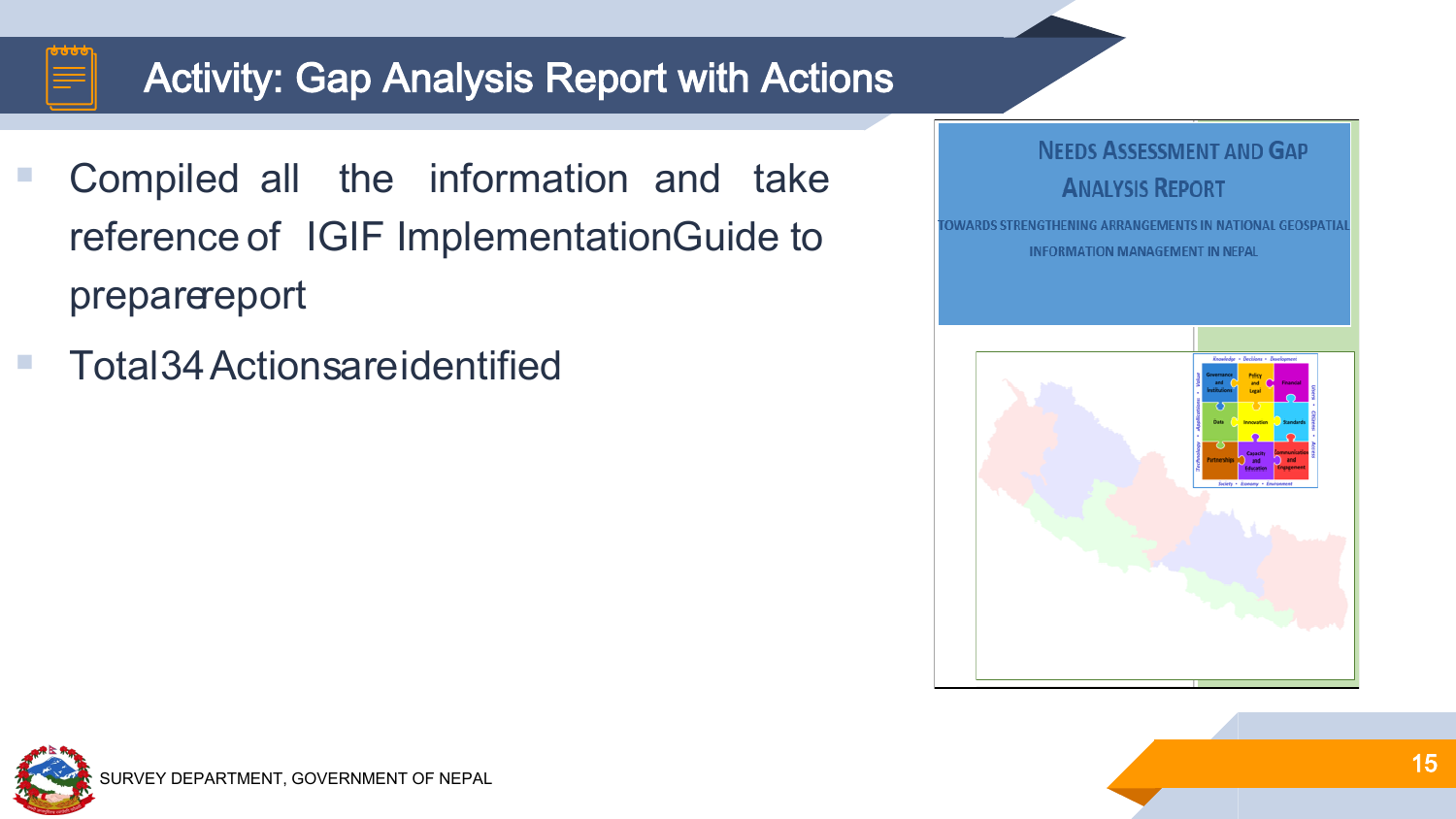

## Activity: Gap Analysis Report with Actions

- Compiled all the information and take reference of IGIF ImplementationGuide to preparereport
- Total34Actionsareidentified



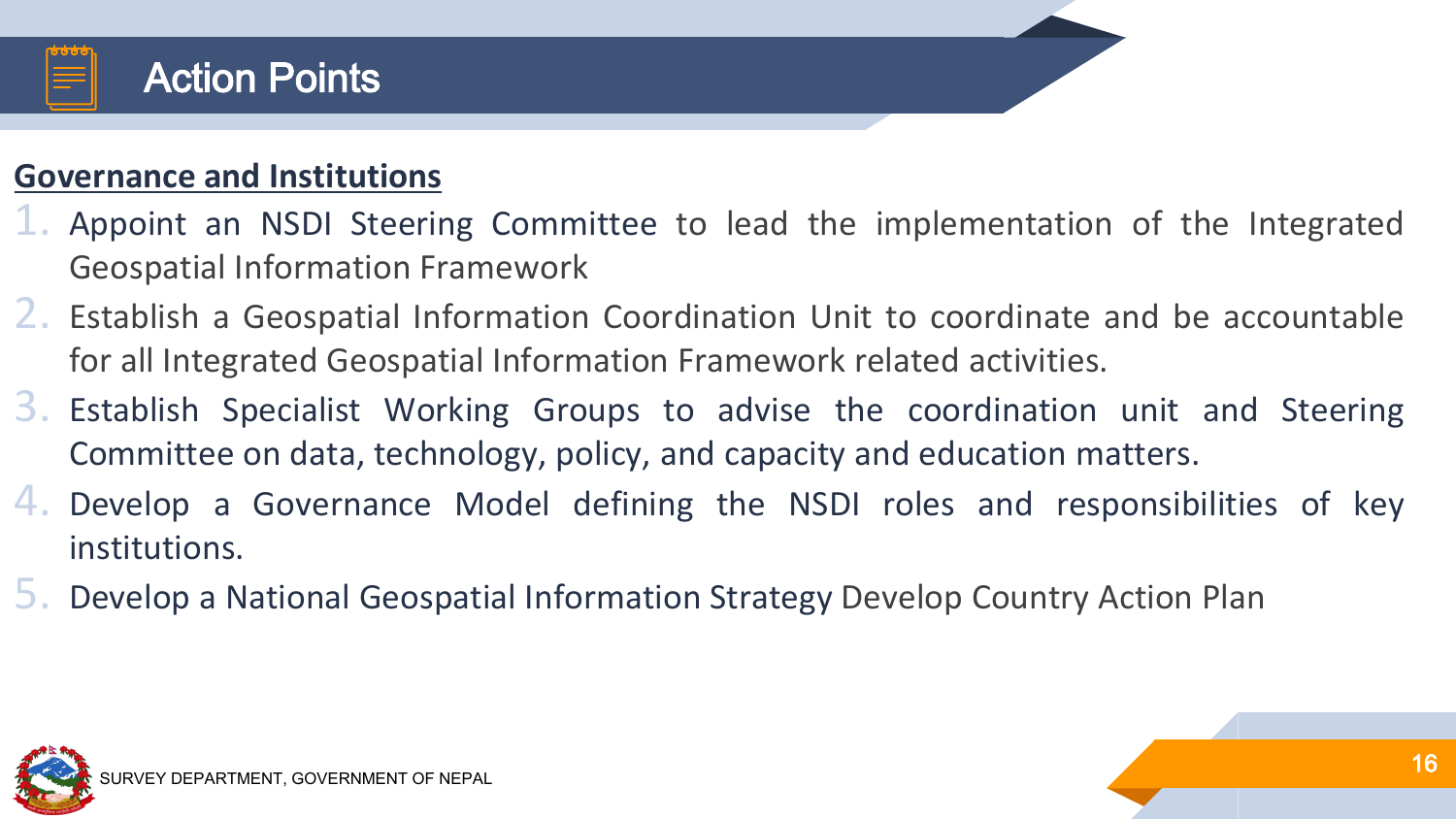

#### **Governance and Institutions**

- 1. Appoint an NSDI Steering Committee to lead the implementation of the Integrated Geospatial Information Framework
- 2. Establish a Geospatial Information Coordination Unit to coordinate and be accountable for all Integrated Geospatial Information Framework related activities.
- 3. Establish Specialist Working Groups to advise the coordination unit and Steering Committee on data, technology, policy, and capacity and education matters.
- 4. Develop a Governance Model defining the NSDI roles and responsibilities of key institutions.
- 5. Develop a National Geospatial Information Strategy Develop Country Action Plan

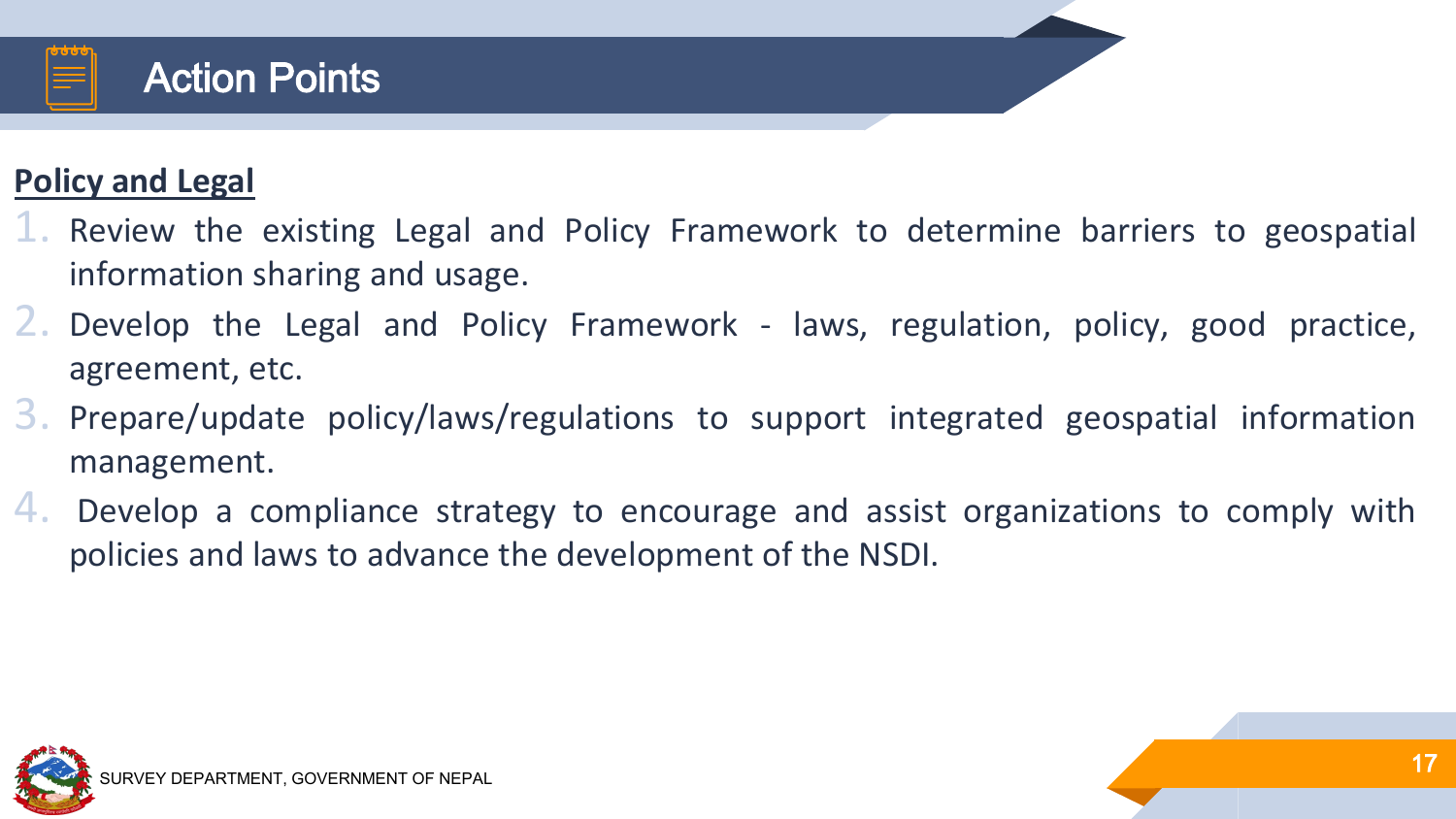

#### **Policy and Legal**

- 1. Review the existing Legal and Policy Framework to determine barriers to geospatial information sharing and usage.
- $\angle$ . Develop the Legal and Policy Framework laws, regulation, policy, good practice, agreement, etc.
- 3. Prepare/update policy/laws/regulations to support integrated geospatial information management.
- 4. Develop a compliance strategy to encourage and assist organizations to comply with policies and laws to advance the development of the NSDI.

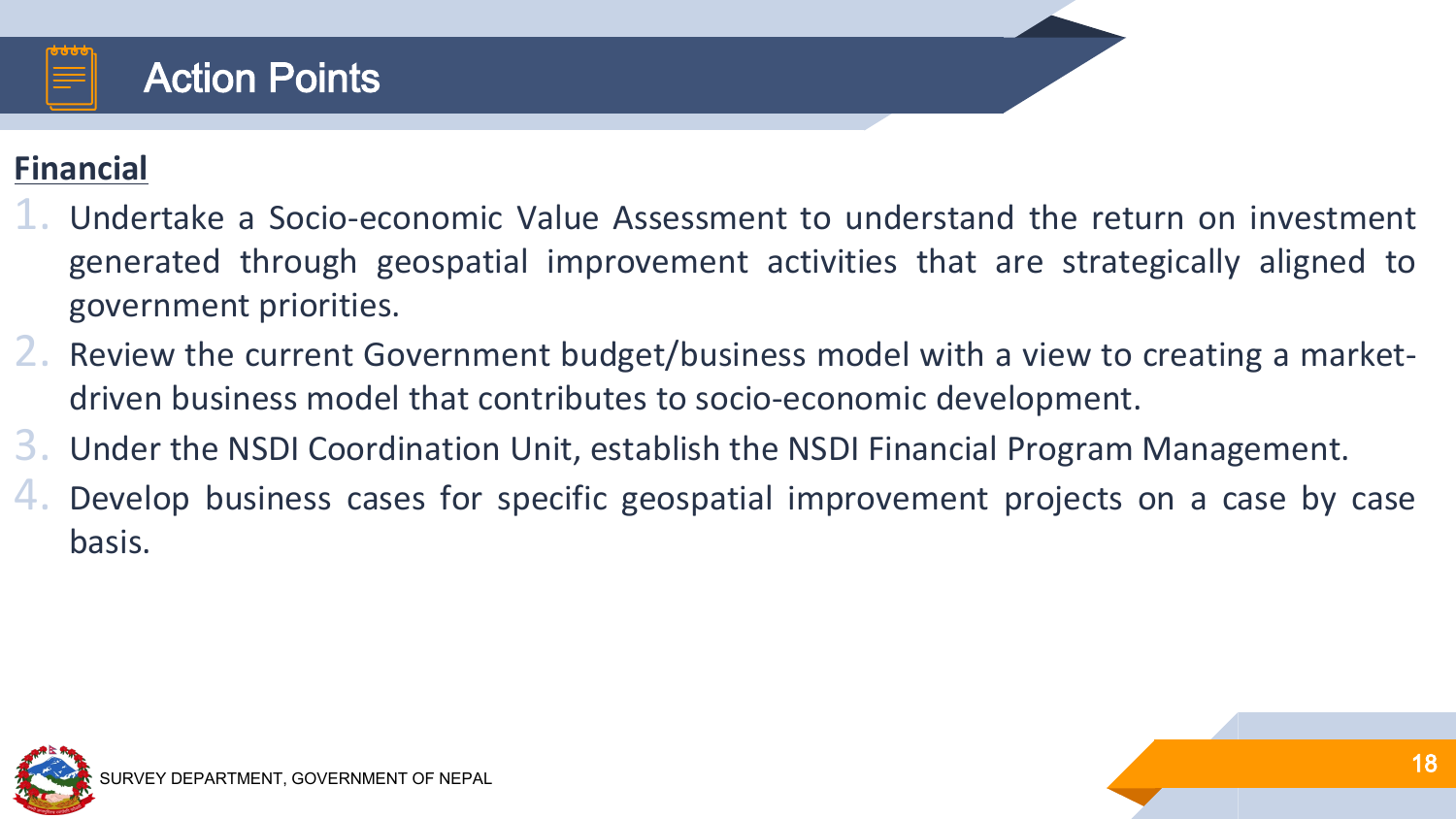

#### **Financial**

- 1. Undertake a Socio-economic Value Assessment to understand the return on investment generated through geospatial improvement activities that are strategically aligned to government priorities.
- 2. Review the current Government budget/business model with a view to creating a marketdriven business model that contributes to socio-economic development.
- 3. Under the NSDI Coordination Unit, establish the NSDI Financial Program Management.
- 4. Develop business cases for specific geospatial improvement projects on a case by case basis.

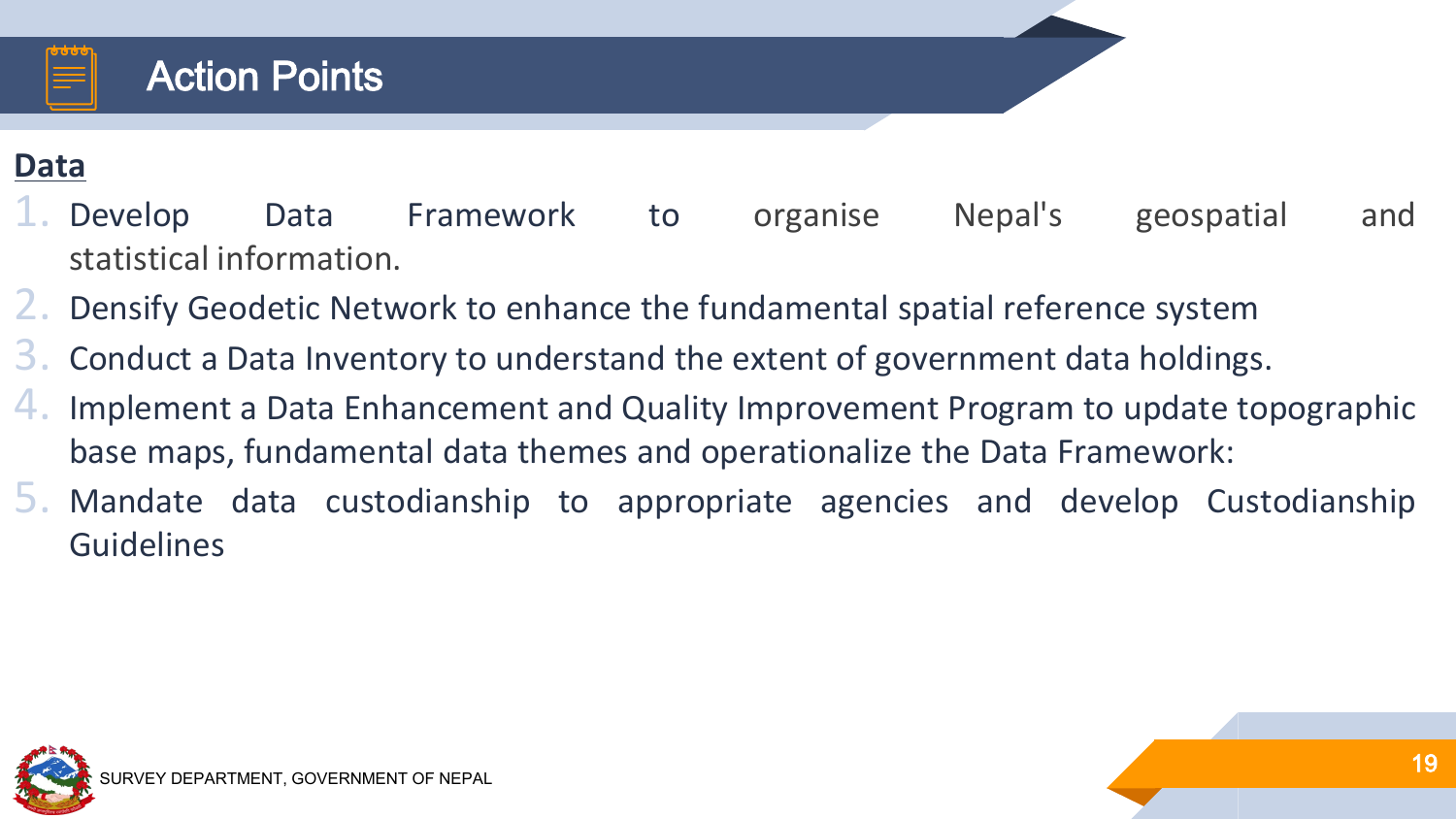

#### **Data**

- 1. Develop Data Framework to organise Nepal's geospatial and statistical information.
- 2. Densify Geodetic Network to enhance the fundamental spatial reference system
- 3. Conduct a Data Inventory to understand the extent of government data holdings.
- 4. Implement a Data Enhancement and Quality Improvement Program to update topographic base maps, fundamental data themes and operationalize the Data Framework:
- 5. Mandate data custodianship to appropriate agencies and develop Custodianship **Guidelines**

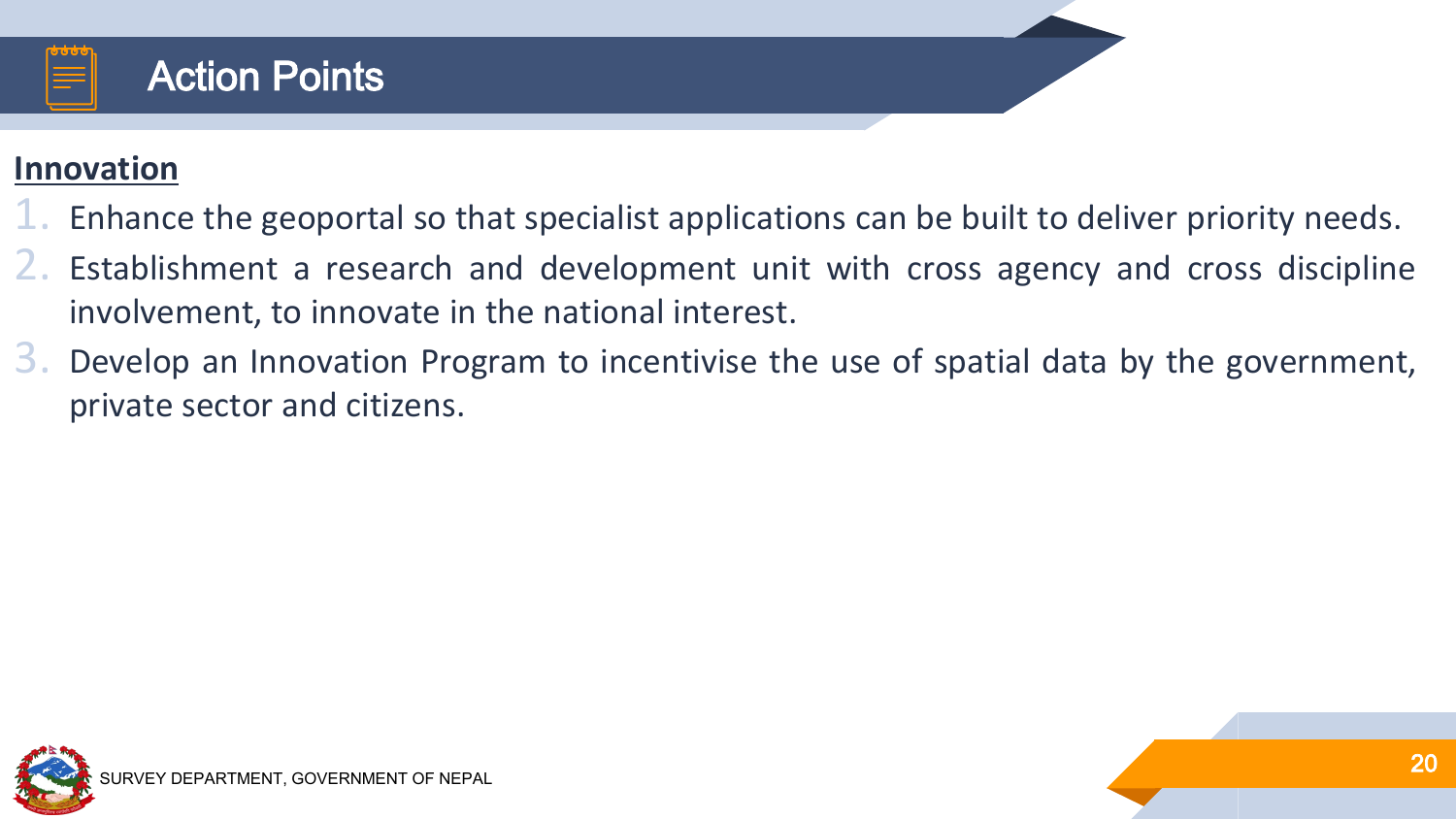

#### **Innovation**

- 1. Enhance the geoportal so that specialist applications can be built to deliver priority needs.
- 2. Establishment a research and development unit with cross agency and cross discipline involvement, to innovate in the national interest.
- 3. Develop an Innovation Program to incentivise the use of spatial data by the government, private sector and citizens.

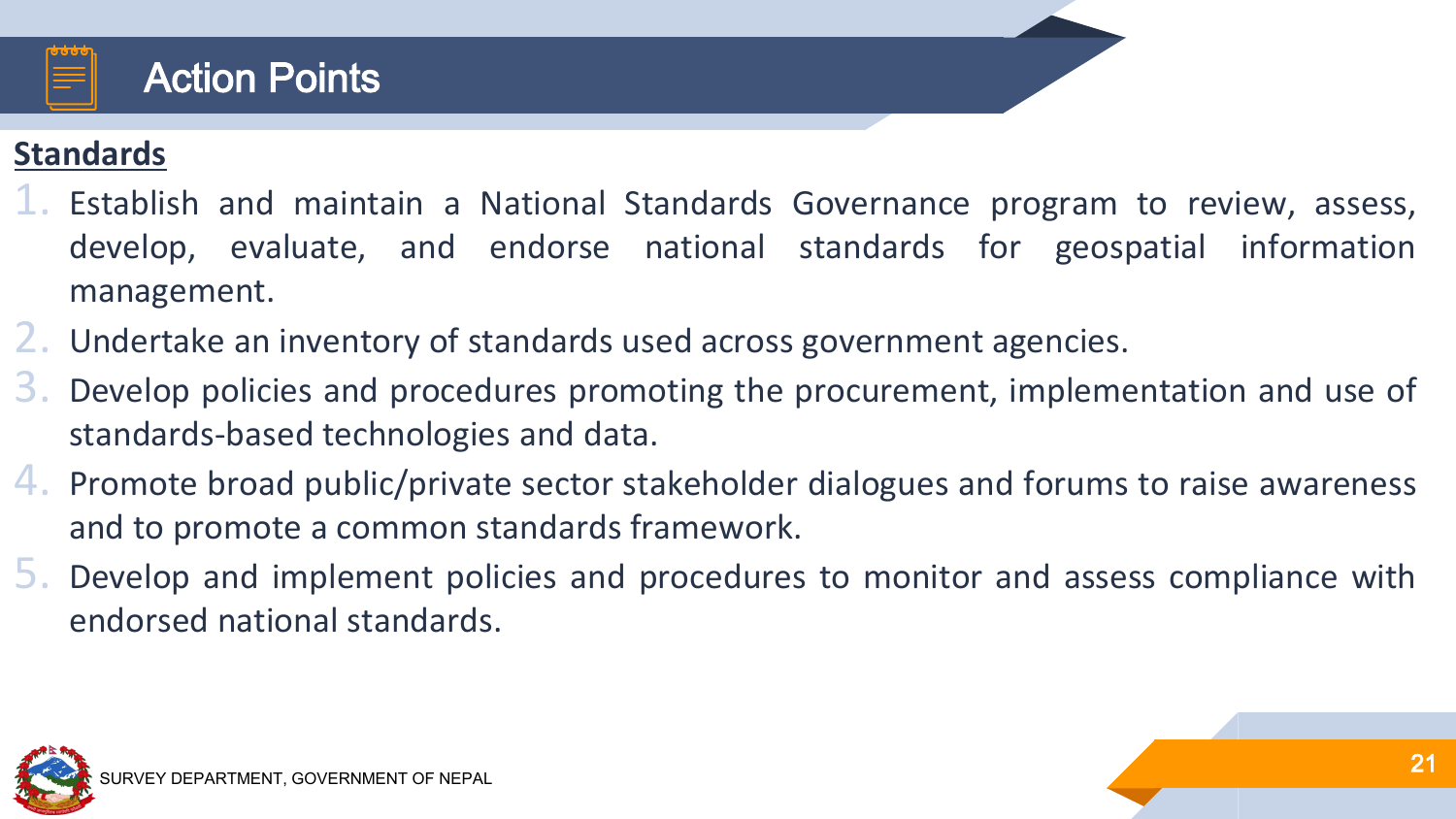

#### **Standards**

- 1. Establish and maintain a National Standards Governance program to review, assess, develop, evaluate, and endorse national standards for geospatial information management.
- 2. Undertake an inventory of standards used across government agencies.
- 3. Develop policies and procedures promoting the procurement, implementation and use of standards-based technologies and data.
- 4. Promote broad public/private sector stakeholder dialogues and forums to raise awareness and to promote a common standards framework.
- 5. Develop and implement policies and procedures to monitor and assess compliance with endorsed national standards.

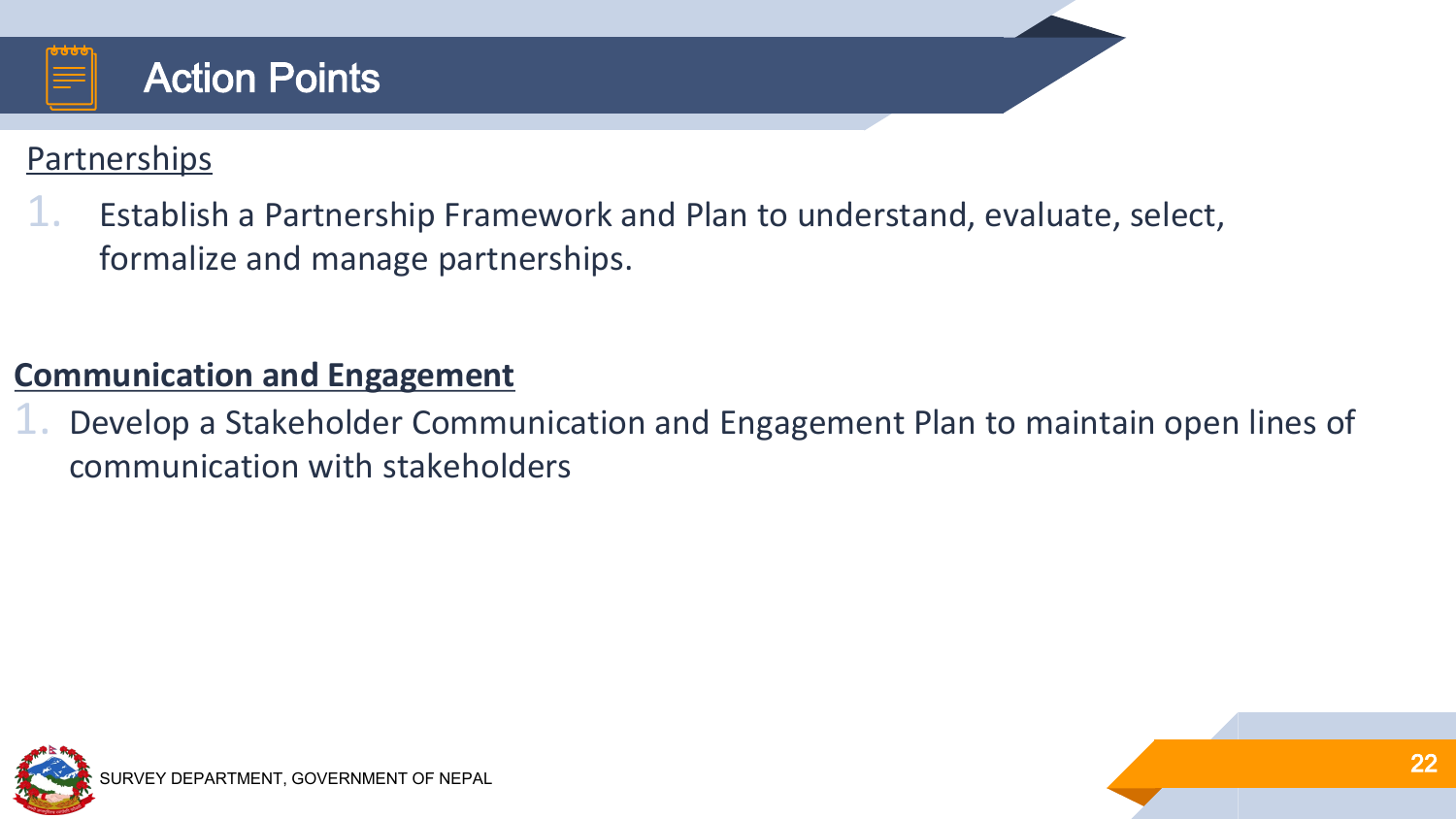

#### Partnerships

1. Establish a Partnership Framework and Plan to understand, evaluate, select, formalize and manage partnerships.

#### **Communication and Engagement**

1. Develop a Stakeholder Communication and Engagement Plan to maintain open lines of communication with stakeholders

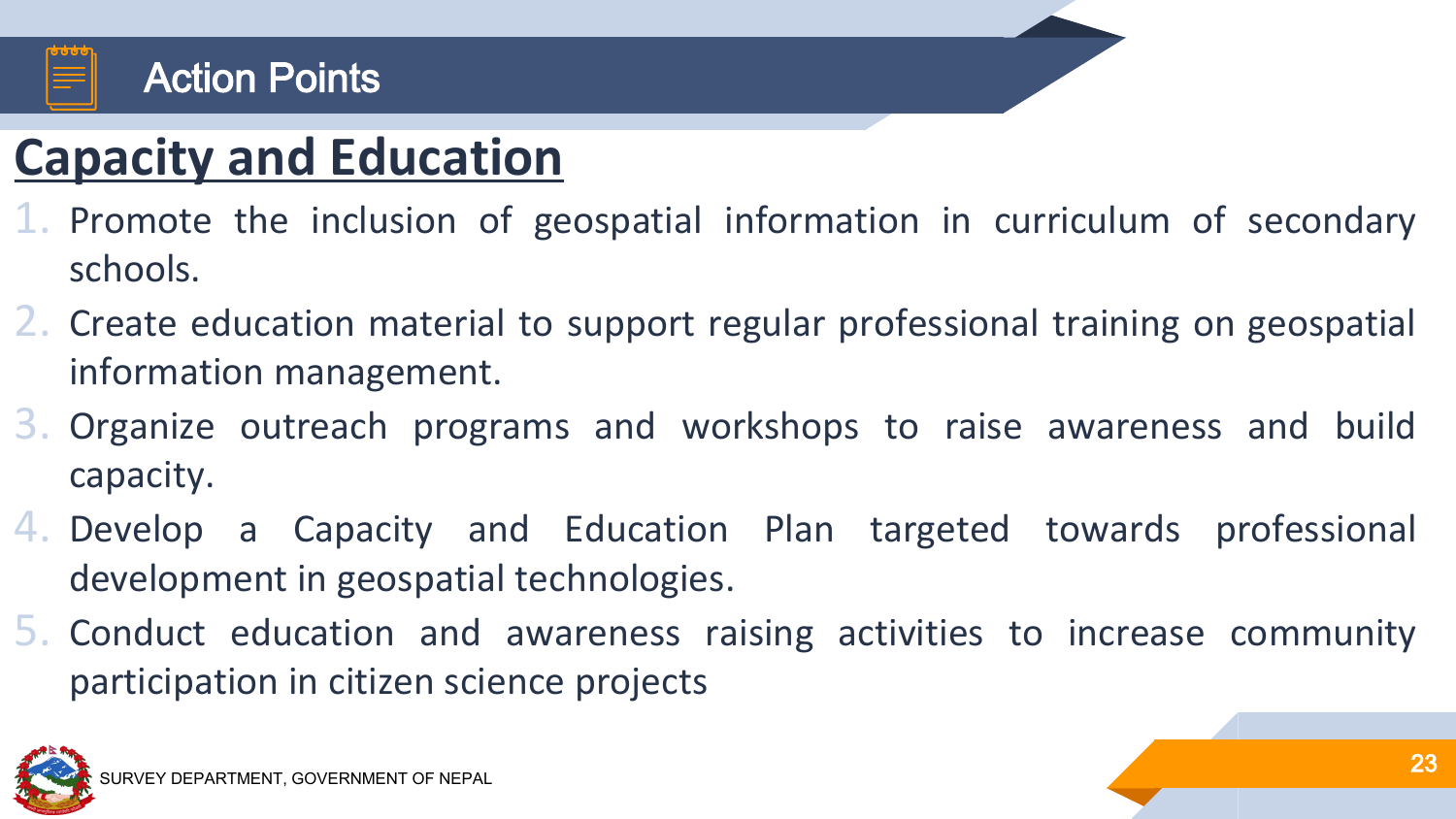

#### Action Points

# **Capacity and Education**

- 1. Promote the inclusion of geospatial information in curriculum of secondary schools.
- 2. Create education material to support regular professional training on geospatial information management.
- 3. Organize outreach programs and workshops to raise awareness and build capacity.
- 4. Develop a Capacity and Education Plan targeted towards professional development in geospatial technologies.
- 5. Conduct education and awareness raising activities to increase community participation in citizen science projects

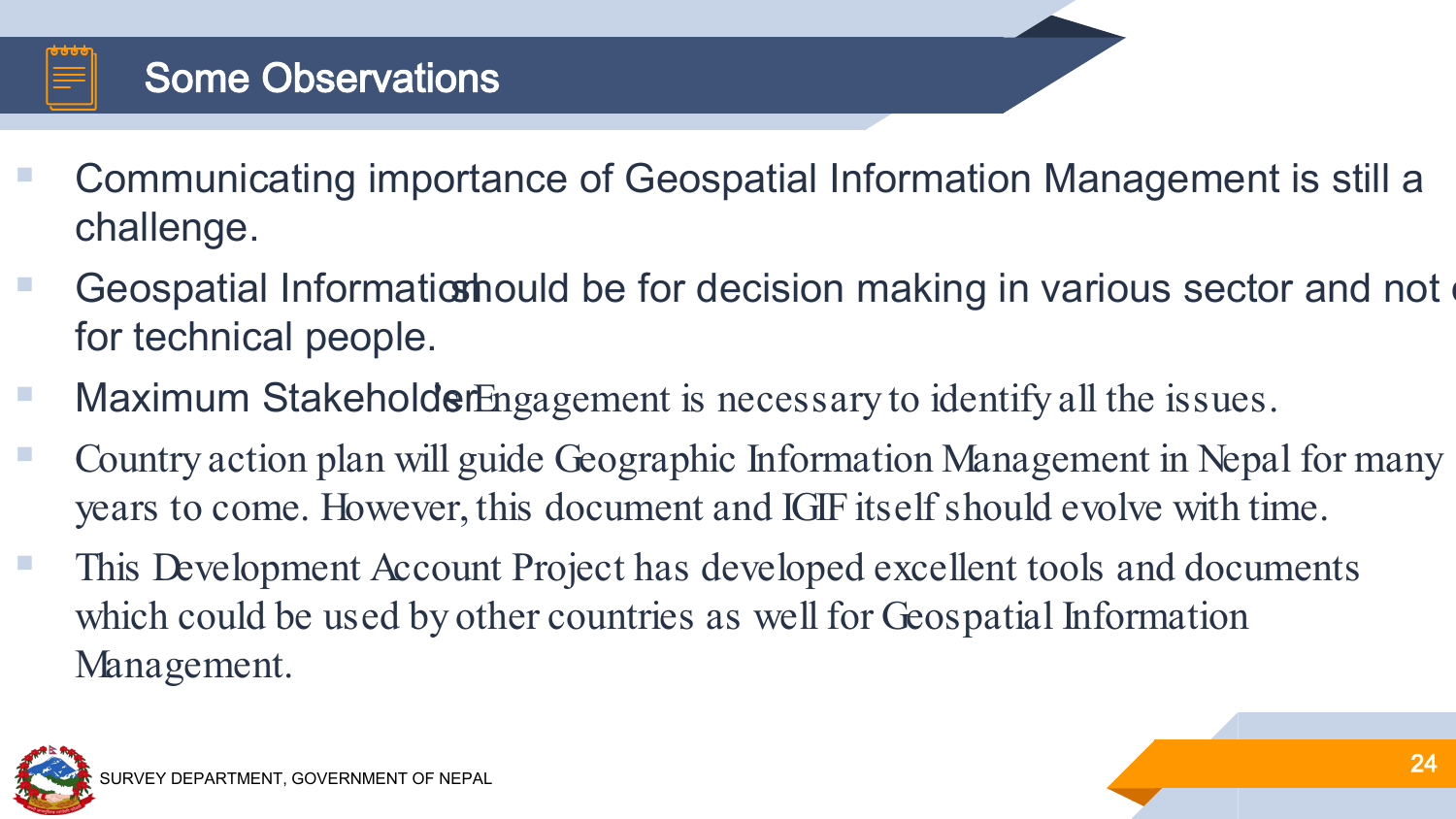

## Some Observations

- Communicating importance of Geospatial Information Management is still a challenge.
- Geospatial Informatic should be for decision making in various sector and not for technical people.
- Maximum Stakeholder Engagement is necessary to identify all the issues.
- Country action plan will guide Geographic Information Management in Nepal for many years to come. However, this document and IGIF itself should evolve with time.
- This Development Account Project has developed excellent tools and documents which could be used by other countries as well for Geospatial Information Management.

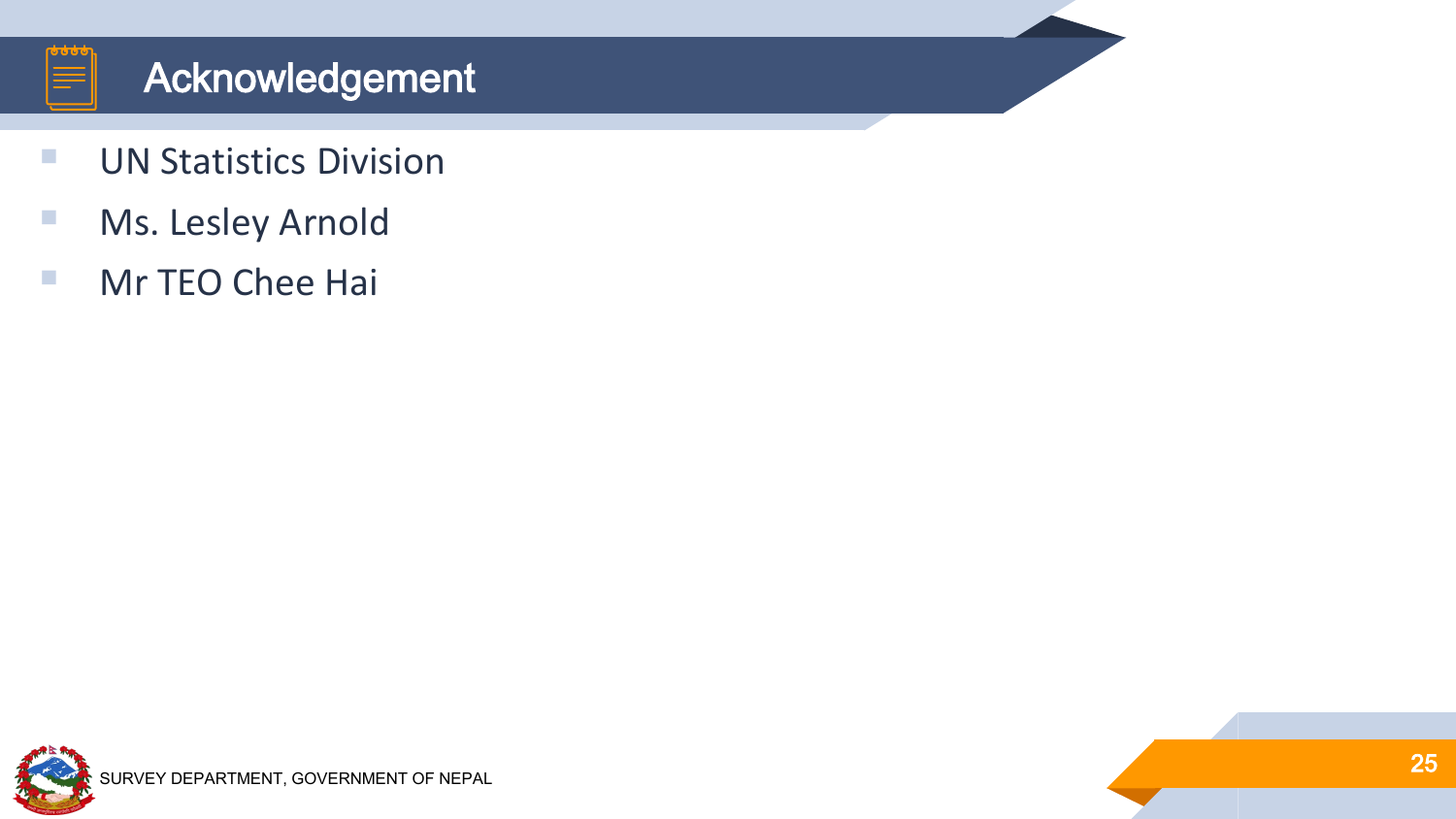

## Acknowledgement

- **UN Statistics Division**
- **Ms. Lesley Arnold**
- **Mr TEO Chee Hai**